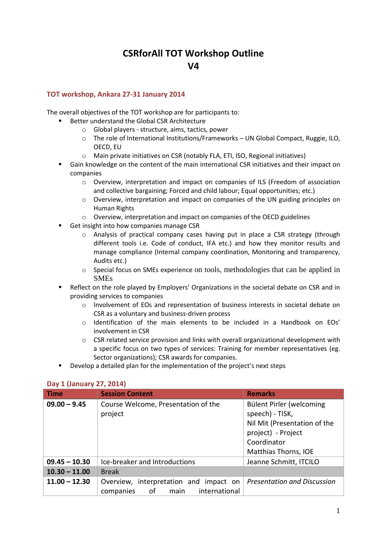# **CSRforAll TOT Workshop Outline V4**

### **TOT workshop, Ankara 27-31 January 2014**

The overall objectives of the TOT workshop are for participants to:

- Better understand the Global CSR Architecture
	- o Global players structure, aims, tactics, power
	- o The role of International Institutions/Frameworks UN Global Compact, Ruggie, ILO, OECD, EU
	- o Main private initiatives on CSR (notably FLA, ETI, ISO, Regional initiatives)
- Gain knowledge on the content of the main international CSR initiatives and their impact on companies
	- $\circ$  Overview, interpretation and impact on companies of ILS (Freedom of association and collective bargaining; Forced and child labour; Equal opportunities; etc.)
	- o Overview, interpretation and impact on companies of the UN guiding principles on Human Rights
	- o Overview, interpretation and impact on companies of the OECD guidelines
- Get insight into how companies manage CSR
	- o Analysis of practical company cases having put in place a CSR strategy (through different tools i.e. Code of conduct, IFA etc.) and how they monitor results and manage compliance (Internal company coordination, Monitoring and transparency, Audits etc.)
	- o Special focus on SMEs experience on tools, methodologies that can be applied in SMEs
- Reflect on the role played by Employers' Organizations in the societal debate on CSR and in providing services to companies
	- o Involvement of EOs and representation of business interests in societal debate on CSR as a voluntary and business-driven process
	- o Identification of the main elements to be included in a Handbook on EOs' involvement in CSR
	- $\circ$  CSR related service provision and links with overall organizational development with a specific focus on two types of services: Training for member representatives (eg. Sector organizations); CSR awards for companies.
- Develop a detailed plan for the implementation of the project's next steps

| <b>Time</b>     | <b>Session Content</b>                                                          | <b>Remarks</b>                                                                            |
|-----------------|---------------------------------------------------------------------------------|-------------------------------------------------------------------------------------------|
| $09.00 - 9.45$  | Course Welcome, Presentation of the<br>project                                  | Bülent Pirler (welcoming<br>speech) - TISK,                                               |
|                 |                                                                                 | Nil Mit (Presentation of the<br>project) - Project<br>Coordinator<br>Matthias Thorns, IOE |
| $09.45 - 10.30$ | Ice-breaker and Introductions                                                   | Jeanne Schmitt, ITCILO                                                                    |
| $10.30 - 11.00$ | <b>Break</b>                                                                    |                                                                                           |
| $11.00 - 12.30$ | Overview, interpretation and impact on<br>international<br>of main<br>companies | <b>Presentation and Discussion</b>                                                        |

#### **Day 1 (January 27, 2014)**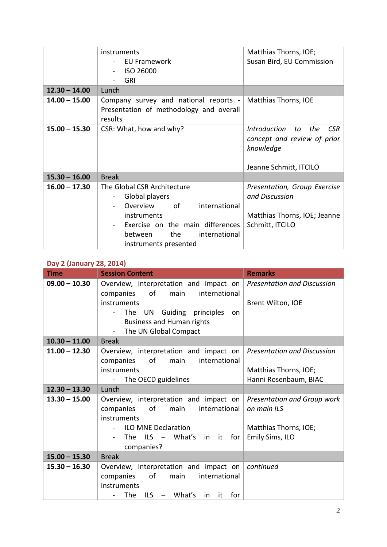|                 | instruments<br><b>EU Framework</b><br>ISO 26000<br><b>GRI</b>                                                                                                                                | Matthias Thorns, IOE;<br>Susan Bird, EU Commission                                                            |
|-----------------|----------------------------------------------------------------------------------------------------------------------------------------------------------------------------------------------|---------------------------------------------------------------------------------------------------------------|
| $12.30 - 14.00$ | Lunch                                                                                                                                                                                        |                                                                                                               |
| $14.00 - 15.00$ | Company survey and national reports -   Matthias Thorns, IOE<br>Presentation of methodology and overall<br>results                                                                           |                                                                                                               |
| $15.00 - 15.30$ | CSR: What, how and why?                                                                                                                                                                      | Introduction<br>the<br><b>CSR</b><br>to<br>concept and review of prior<br>knowledge<br>Jeanne Schmitt, ITCILO |
| $15.30 - 16.00$ | <b>Break</b>                                                                                                                                                                                 |                                                                                                               |
| $16.00 - 17.30$ | The Global CSR Architecture<br>Global players<br>Overview of<br>international<br>instruments<br>Exercise on the main differences<br>the<br>international<br>between<br>instruments presented | Presentation, Group Exercise<br>and Discussion<br>Matthias Thorns, IOE; Jeanne<br>Schmitt, ITCILO             |

# **Day 2 (January 28, 2014)**

| <b>Time</b>     | <b>Session Content</b>                                                                                                                                                                                                                                               | <b>Remarks</b>              |
|-----------------|----------------------------------------------------------------------------------------------------------------------------------------------------------------------------------------------------------------------------------------------------------------------|-----------------------------|
| $09.00 - 10.30$ | Overview, interpretation and impact on <i>Presentation and Discussion</i><br>companies of<br>main<br>international                                                                                                                                                   |                             |
|                 | instruments                                                                                                                                                                                                                                                          | Brent Wilton, IOE           |
|                 | The UN Guiding principles<br>on                                                                                                                                                                                                                                      |                             |
|                 | <b>Business and Human rights</b>                                                                                                                                                                                                                                     |                             |
|                 | The UN Global Compact                                                                                                                                                                                                                                                |                             |
| $10.30 - 11.00$ | <b>Break</b>                                                                                                                                                                                                                                                         |                             |
| $11.00 - 12.30$ | Overview, interpretation and impact on <i>Presentation and Discussion</i>                                                                                                                                                                                            |                             |
|                 | companies<br>of<br>main<br>international                                                                                                                                                                                                                             |                             |
|                 | instruments                                                                                                                                                                                                                                                          | Matthias Thorns, IOE;       |
|                 | The OECD guidelines<br>$\sim$                                                                                                                                                                                                                                        | Hanni Rosenbaum, BIAC       |
| $12.30 - 13.30$ | Lunch                                                                                                                                                                                                                                                                |                             |
| $13.30 - 15.00$ | Overview, interpretation and impact on                                                                                                                                                                                                                               | Presentation and Group work |
|                 | of main<br>international<br>companies                                                                                                                                                                                                                                | on main ILS                 |
|                 | instruments                                                                                                                                                                                                                                                          |                             |
|                 | <b>ILO MNE Declaration</b>                                                                                                                                                                                                                                           | Matthias Thorns, IOE;       |
|                 | The ILS $-$ What's in it for                                                                                                                                                                                                                                         | Emily Sims, ILO             |
|                 | companies?                                                                                                                                                                                                                                                           |                             |
| $15.00 - 15.30$ | <b>Break</b>                                                                                                                                                                                                                                                         |                             |
| $15.30 - 16.30$ | Overview, interpretation and impact on $\vert$                                                                                                                                                                                                                       | continued                   |
|                 | companies<br>of the control of the control of the control of the control of the control of the control of the control of the control of the control of the control of the control of the control of the control of the control of the contr<br>international<br>main |                             |
|                 | instruments                                                                                                                                                                                                                                                          |                             |
|                 | ILS $-$ What's in it<br><b>The</b><br>for                                                                                                                                                                                                                            |                             |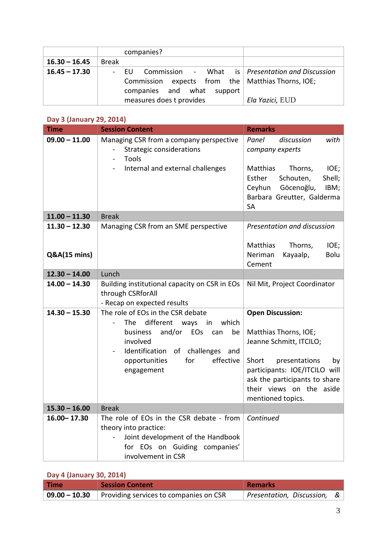|                 | companies?                                                                               |                 |
|-----------------|------------------------------------------------------------------------------------------|-----------------|
| $16.30 - 16.45$ | <b>Break</b>                                                                             |                 |
| $16.45 - 17.30$ | <b>Commission</b> - What is <i>Presentation and Discussion</i><br>- FU<br>$\blacksquare$ |                 |
|                 | Commission expects from the $\vert$ Matthias Thorns, IOE;                                |                 |
|                 | companies and what<br>support                                                            |                 |
|                 | measures does t provides                                                                 | Ela Yazici, EUD |

### **Day 3 (January 29, 2014)**

| <b>Time</b>             | <b>Session Content</b>                                                                                                                                                                                                       | <b>Remarks</b>                                                                                                                                                                                                                 |
|-------------------------|------------------------------------------------------------------------------------------------------------------------------------------------------------------------------------------------------------------------------|--------------------------------------------------------------------------------------------------------------------------------------------------------------------------------------------------------------------------------|
| $09.00 - 11.00$         | Managing CSR from a company perspective<br><b>Strategic considerations</b><br><b>Tools</b><br>$\blacksquare$                                                                                                                 | Panel<br>discussion<br>with<br>company experts                                                                                                                                                                                 |
|                         | Internal and external challenges                                                                                                                                                                                             | Matthias<br>IOE;<br>Thorns,<br>Esther<br>Schouten,<br>Shell;<br>Göcenoğlu,<br>Ceyhun<br>IBM;<br>Barbara Greutter, Galderma<br><b>SA</b>                                                                                        |
| $11.00 - 11.30$         | <b>Break</b>                                                                                                                                                                                                                 |                                                                                                                                                                                                                                |
| $11.30 - 12.30$         | Managing CSR from an SME perspective                                                                                                                                                                                         | Presentation and discussion<br>Matthias<br>Thorns,<br>IOE;                                                                                                                                                                     |
| <b>Q&amp;A(15 mins)</b> |                                                                                                                                                                                                                              | Neriman<br>Kayaalp,<br><b>Bolu</b><br>Cement                                                                                                                                                                                   |
| $12.30 - 14.00$         | Lunch                                                                                                                                                                                                                        |                                                                                                                                                                                                                                |
| $14.00 - 14.30$         | Building institutional capacity on CSR in EOs<br>through CSRforAll<br>- Recap on expected results                                                                                                                            | Nil Mit, Project Coordinator                                                                                                                                                                                                   |
| $14.30 - 15.30$         | The role of EOs in the CSR debate<br>different ways<br>which<br>The<br>in<br>and/or<br>EOs<br>business<br>be<br>can<br>involved<br>Identification<br>of challenges<br>and<br>for<br>effective<br>opportunities<br>engagement | <b>Open Discussion:</b><br>Matthias Thorns, IOE;<br>Jeanne Schmitt, ITCILO;<br>Short<br>presentations<br>by<br>participants: IOE/ITCILO will<br>ask the participants to share<br>their views on the aside<br>mentioned topics. |
| $15.30 - 16.00$         | <b>Break</b>                                                                                                                                                                                                                 |                                                                                                                                                                                                                                |
| 16.00 - 17.30           | The role of EOs in the CSR debate - from<br>theory into practice:<br>Joint development of the Handbook<br>for EOs on Guiding companies'<br>involvement in CSR                                                                | Continued                                                                                                                                                                                                                      |

# **Day 4 (January 30, 2014)**

| <b>Time</b> | <b>Session Content</b>                                               | Remarks                     |  |
|-------------|----------------------------------------------------------------------|-----------------------------|--|
|             | $\vert$ 09.00 – 10.30 $\vert$ Providing services to companies on CSR | Presentation, Discussion, & |  |